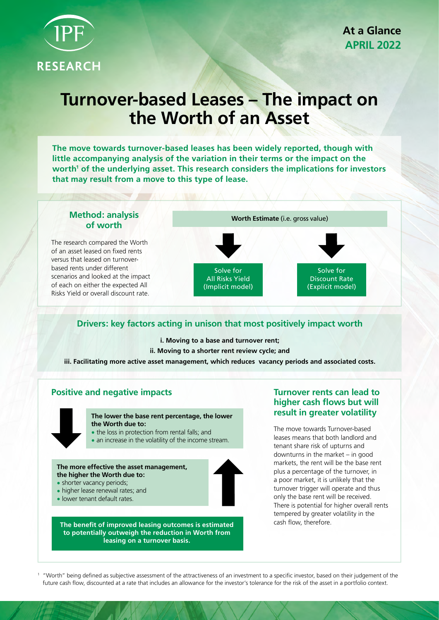

# **Turnover-based Leases – The impact on the Worth of an Asset**

**The move towards turnover-based leases has been widely reported, though with little accompanying analysis of the variation in their terms or the impact on the**  worth<sup>1</sup> of the underlying asset. This research considers the implications for investors **that may result from a move to this type of lease.**



# **Drivers: key factors acting in unison that most positively impact worth**

**i. Moving to a base and turnover rent;** 

**ii. Moving to a shorter rent review cycle; and**

**iii. Facilitating more active asset management, which reduces vacancy periods and associated costs.**

# **Positive and negative impacts**



**The lower the base rent percentage, the lower the Worth due to:**

- the loss in protection from rental falls: and
- an increase in the volatility of the income stream.

**The more effective the asset management, the higher the Worth due to:**

- shorter vacancy periods;
- higher lease renewal rates; and
- lower tenant default rates.

**The benefit of improved leasing outcomes is estimated to potentially outweigh the reduction in Worth from leasing on a turnover basis.**

# **Turnover rents can lead to higher cash flows but will result in greater volatility**

The move towards Turnover-based leases means that both landlord and tenant share risk of upturns and downturns in the market – in good markets, the rent will be the base rent plus a percentage of the turnover, in a poor market, it is unlikely that the turnover trigger will operate and thus only the base rent will be received. There is potential for higher overall rents tempered by greater volatility in the cash flow, therefore.

<sup>1</sup> "Worth" being defined as subjective assessment of the attractiveness of an investment to a specific investor, based on their judgement of the future cash flow, discounted at a rate that includes an allowance for the investor's tolerance for the risk of the asset in a portfolio context.